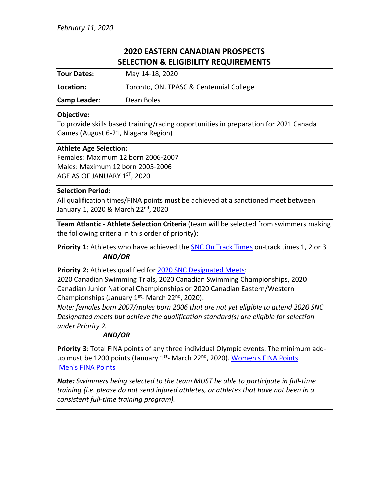# **2020 EASTERN CANADIAN PROSPECTS SELECTION & ELIGIBILITY REQUIREMENTS**

| <b>Tour Dates:</b>  | May 14-18, 2020                         |
|---------------------|-----------------------------------------|
| Location:           | Toronto, ON. TPASC & Centennial College |
| <b>Camp Leader:</b> | Dean Boles                              |

### **Objective:**

To provide skills based training/racing opportunities in preparation for 2021 Canada Games (August 6-21, Niagara Region)

#### **Athlete Age Selection:**

Females: Maximum 12 born 2006-2007 Males: Maximum 12 born 2005-2006 AGE AS OF JANUARY 1ST, 2020

#### **Selection Period:**

All qualification times/FINA points must be achieved at a sanctioned meet between January 1, 2020 & March 22<sup>nd</sup>, 2020

**Team Atlantic - Athlete Selection Criteria** (team will be selected from swimmers making the following criteria in this order of priority):

Priority 1: Athletes who have achieved the **SNC On Track Times on-track times 1**, 2 or 3 *AND/OR*

#### **Priority 2:** Athletes qualified for [2020 SNC Designated Meets:](https://www.swimming.ca/content/uploads/2019/09/2020-National-Time-Standards-1.pdf)

2020 Canadian Swimming Trials, 2020 Canadian Swimming Championships, 2020 Canadian Junior National Championships or 2020 Canadian Eastern/Western Championships (January 1st- March 22<sup>nd</sup>, 2020).

*Note: females born 2007/males born 2006 that are not yet eligible to attend 2020 SNC Designated meets but achieve the qualification standard(s) are eligible for selection under Priority 2.*

## *AND/OR*

**Priority 3**: Total FINA points of any three individual Olympic events. The minimum add-up must be 1200 points (January 1<sup>st</sup>- March 22<sup>nd</sup>, 2020). <u>[Women's FINA Points](https://www.fina.org/sites/default/files/fina_points_-_lcm_2020_female_.pdf)</u> [Men's FINA Points](https://www.fina.org/sites/default/files/fina_points_-_lcm_2020_male_.pdf)

*Note: Swimmers being selected to the team MUST be able to participate in full-time training (i.e. please do not send injured athletes, or athletes that have not been in a consistent full-time training program).*